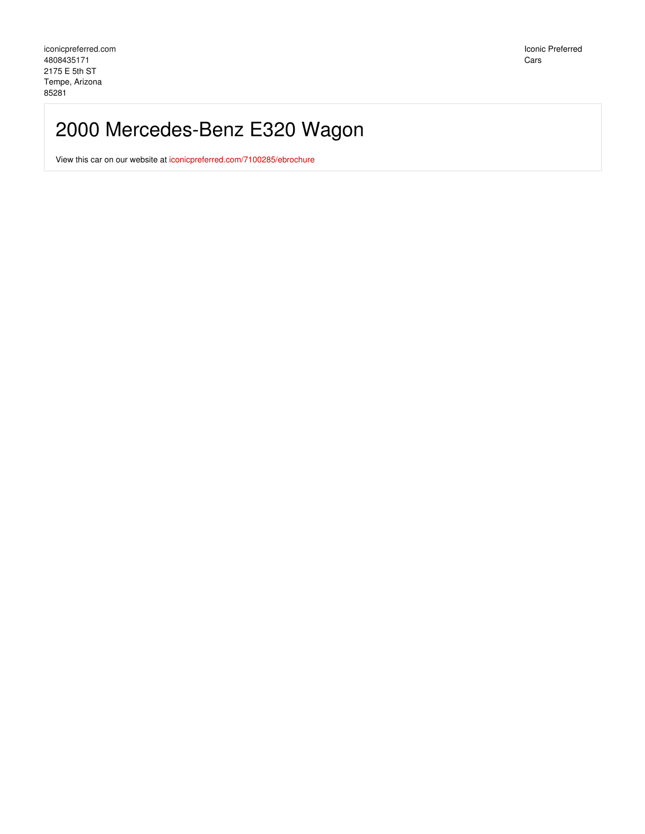# 2000 Mercedes-Benz E320 Wagon

View this car on our website at [iconicpreferred.com/7100285/ebrochure](https://iconicpreferred.com/vehicle/7100285/2000-mercedes-benz-e320-wagon-tempe-arizona-85281/7100285/ebrochure)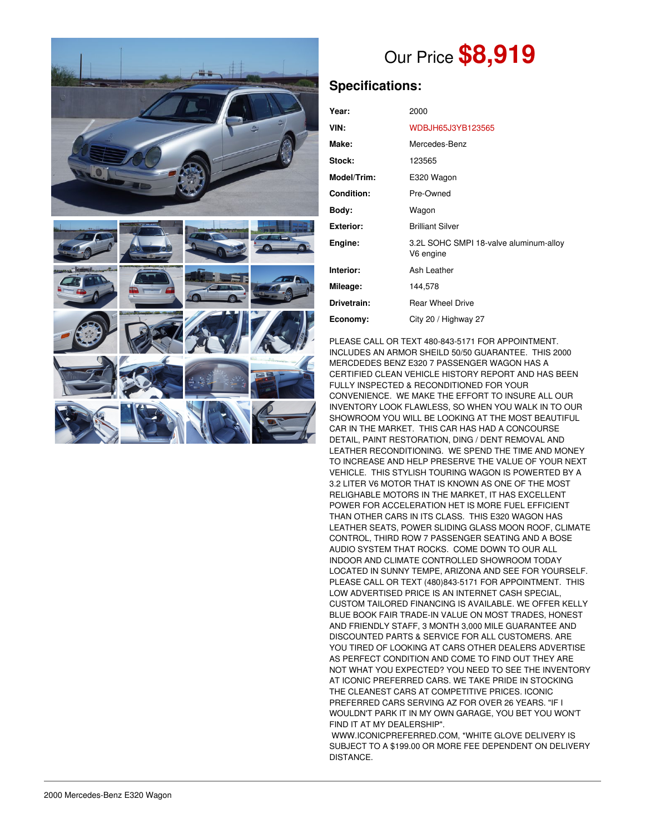

# Our Price **\$8,919**

## **Specifications:**

| Year:            | 2000                                                |
|------------------|-----------------------------------------------------|
| VIN:             | WDBJH65J3YB123565                                   |
| Make:            | Mercedes-Benz                                       |
| Stock:           | 123565                                              |
| Model/Trim:      | E320 Wagon                                          |
| Condition:       | Pre-Owned                                           |
| Body:            | Wagon                                               |
| <b>Exterior:</b> | <b>Brilliant Silver</b>                             |
| Engine:          | 3.2L SOHC SMPI 18-valve aluminum-alloy<br>V6 engine |
| Interior:        | Ash Leather                                         |
| Mileage:         | 144,578                                             |
| Drivetrain:      | <b>Rear Wheel Drive</b>                             |
| Economy:         | City 20 / Highway 27                                |

PLEASE CALL OR TEXT 480-843-5171 FOR APPOINTMENT. INCLUDES AN ARMOR SHEILD 50/50 GUARANTEE. THIS 2000 MERCDEDES BENZ E320 7 PASSENGER WAGON HAS A CERTIFIED CLEAN VEHICLE HISTORY REPORT AND HAS BEEN FULLY INSPECTED & RECONDITIONED FOR YOUR CONVENIENCE. WE MAKE THE EFFORT TO INSURE ALL OUR INVENTORY LOOK FLAWLESS, SO WHEN YOU WALK IN TO OUR SHOWROOM YOU WILL BE LOOKING AT THE MOST BEAUTIFUL CAR IN THE MARKET. THIS CAR HAS HAD A CONCOURSE DETAIL, PAINT RESTORATION, DING / DENT REMOVAL AND LEATHER RECONDITIONING. WE SPEND THE TIME AND MONEY TO INCREASE AND HELP PRESERVE THE VALUE OF YOUR NEXT VEHICLE. THIS STYLISH TOURING WAGON IS POWERTED BY A 3.2 LITER V6 MOTOR THAT IS KNOWN AS ONE OF THE MOST RELIGHABLE MOTORS IN THE MARKET, IT HAS EXCELLENT POWER FOR ACCELERATION HET IS MORE FUEL EFFICIENT THAN OTHER CARS IN ITS CLASS. THIS E320 WAGON HAS LEATHER SEATS, POWER SLIDING GLASS MOON ROOF, CLIMATE CONTROL, THIRD ROW 7 PASSENGER SEATING AND A BOSE AUDIO SYSTEM THAT ROCKS. COME DOWN TO OUR ALL INDOOR AND CLIMATE CONTROLLED SHOWROOM TODAY LOCATED IN SUNNY TEMPE, ARIZONA AND SEE FOR YOURSELF. PLEASE CALL OR TEXT (480)843-5171 FOR APPOINTMENT. THIS LOW ADVERTISED PRICE IS AN INTERNET CASH SPECIAL, CUSTOM TAILORED FINANCING IS AVAILABLE. WE OFFER KELLY BLUE BOOK FAIR TRADE-IN VALUE ON MOST TRADES, HONEST AND FRIENDLY STAFF, 3 MONTH 3,000 MILE GUARANTEE AND DISCOUNTED PARTS & SERVICE FOR ALL CUSTOMERS. ARE YOU TIRED OF LOOKING AT CARS OTHER DEALERS ADVERTISE AS PERFECT CONDITION AND COME TO FIND OUT THEY ARE NOT WHAT YOU EXPECTED? YOU NEED TO SEE THE INVENTORY AT ICONIC PREFERRED CARS. WE TAKE PRIDE IN STOCKING THE CLEANEST CARS AT COMPETITIVE PRICES. ICONIC PREFERRED CARS SERVING AZ FOR OVER 26 YEARS. "IF I WOULDN'T PARK IT IN MY OWN GARAGE, YOU BET YOU WON'T FIND IT AT MY DEALERSHIP".

WWW.ICONICPREFERRED.COM, \*WHITE GLOVE DELIVERY IS SUBJECT TO A \$199.00 OR MORE FEE DEPENDENT ON DELIVERY DISTANCE.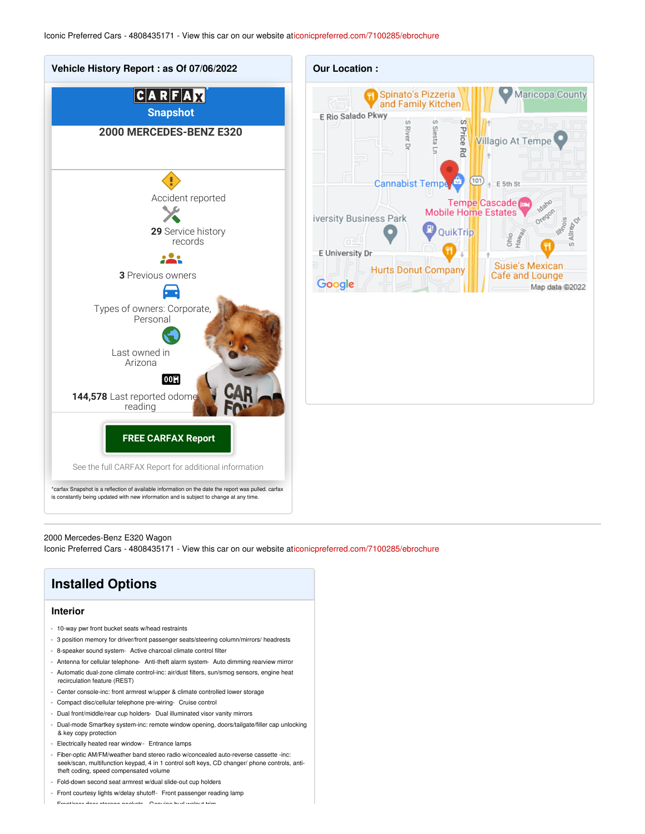

#### 2000 Mercedes-Benz E320 Wagon

Iconic Preferred Cars - 4808435171 - View this car on our website a[ticonicpreferred.com/7100285/ebrochure](https://iconicpreferred.com/vehicle/7100285/2000-mercedes-benz-e320-wagon-tempe-arizona-85281/7100285/ebrochure)

| <b>Installed Options</b>                                                                                                                                                                                                                                                                                         |  |
|------------------------------------------------------------------------------------------------------------------------------------------------------------------------------------------------------------------------------------------------------------------------------------------------------------------|--|
| <b>Interior</b>                                                                                                                                                                                                                                                                                                  |  |
| - 10-way pwr front bucket seats w/head restraints<br>3 position memory for driver/front passenger seats/steering column/mirrors/ headrests<br>٠<br>8-speaker sound system - Active charcoal climate control filter<br>Antenna for cellular telephone- Anti-theft alarm system- Auto dimming rearview mirror<br>٠ |  |
| Automatic dual-zone climate control-inc: air/dust filters, sun/smog sensors, engine heat<br>٠<br>recirculation feature (REST)<br>Center console-inc: front armrest w/upper & climate controlled lower storage<br>٠                                                                                               |  |
| Compact disc/cellular telephone pre-wiring- Cruise control<br>٠<br>Dual front/middle/rear cup holders- Dual illuminated visor vanity mirrors<br>٠                                                                                                                                                                |  |
| Dual-mode Smartkey system-inc: remote window opening, doors/tailgate/filler cap unlocking<br>٠<br>& key copy protection<br>Electrically heated rear window - Entrance lamps<br>٠                                                                                                                                 |  |

- Fiber-optic AM/FM/weather band stereo radio w/concealed auto-reverse cassette -inc: seek/scan, multifunction keypad, 4 in 1 control soft keys, CD changer/ phone controls, antitheft coding, speed compensated volume
- Fold-down second seat armrest w/dual slide-out cup holders
- Front courtesy lights w/delay shutoff- Front passenger reading lamp

- Front/rear door storage pockets- Genuine burl walnut trim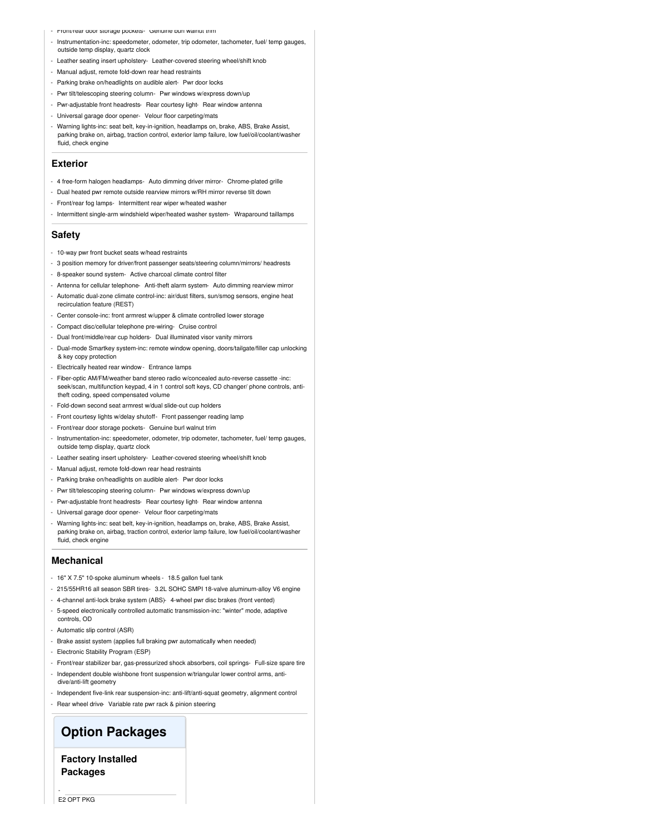- Front/rear door storage pockets- Genuine burl walnut trim
- Instrumentation-inc: speedometer, odometer, trip odometer, tachometer, fuel/ temp gauges, outside temp display, quartz clock
- Leather seating insert upholstery- Leather-covered steering wheel/shift knob
- Manual adjust, remote fold-down rear head restraints
- Parking brake on/headlights on audible alert- Pwr door locks
- Pwr tilt/telescoping steering column- Pwr windows w/express down/up
- Pwr-adjustable front headrests- Rear courtesy light- Rear window antenna
- Universal garage door opener- Velour floor carpeting/mats
- Warning lights-inc: seat belt, key-in-ignition, headlamps on, brake, ABS, Brake Assist, parking brake on, airbag, traction control, exterior lamp failure, low fuel/oil/coolant/washer fluid, check engine

#### **Exterior**

- 4 free-form halogen headlamps- Auto dimming driver mirror- Chrome-plated grille
- Dual heated pwr remote outside rearview mirrors w/RH mirror reverse tilt down
- Front/rear fog lamps- Intermittent rear wiper w/heated washer
- Intermittent single-arm windshield wiper/heated washer system- Wraparound taillamps

#### **Safety**

- 10-way pwr front bucket seats w/head restraints
- 3 position memory for driver/front passenger seats/steering column/mirrors/ headrests
- 8-speaker sound system- Active charcoal climate control filter
- Antenna for cellular telephone- Anti-theft alarm system- Auto dimming rearview mirror
- Automatic dual-zone climate control-inc: air/dust filters, sun/smog sensors, engine heat recirculation feature (REST)
- Center console-inc: front armrest w/upper & climate controlled lower storage
- Compact disc/cellular telephone pre-wiring- Cruise control
- Dual front/middle/rear cup holders- Dual illuminated visor vanity mirrors
- Dual-mode Smartkey system-inc: remote window opening, doors/tailgate/filler cap unlocking & key copy protection
- Electrically heated rear window- Entrance lamps
- Fiber-optic AM/FM/weather band stereo radio w/concealed auto-reverse cassette -inc: seek/scan, multifunction keypad, 4 in 1 control soft keys, CD changer/ phone controls, antitheft coding, speed compensated volume
- Fold-down second seat armrest w/dual slide-out cup holders
- Front courtesy lights w/delay shutoff- Front passenger reading lamp
- Front/rear door storage pockets- Genuine burl walnut trim
- Instrumentation-inc: speedometer, odometer, trip odometer, tachometer, fuel/ temp gauges, outside temp display, quartz clock
- Leather seating insert upholstery- Leather-covered steering wheel/shift knob
- Manual adjust, remote fold-down rear head restraints
- Parking brake on/headlights on audible alert- Pwr door locks
- Pwr tilt/telescoping steering column- Pwr windows w/express down/up
- Pwr-adjustable front headrests- Rear courtesy light- Rear window antenna
- Universal garage door opener- Velour floor carpeting/mats
- Warning lights-inc: seat belt, key-in-ignition, headlamps on, brake, ABS, Brake Assist, parking brake on, airbag, traction control, exterior lamp failure, low fuel/oil/coolant/washer fluid, check engine

#### **Mechanical**

- 16" X 7.5" 10-spoke aluminum wheels 18.5 gallon fuel tank
- 215/55HR16 all season SBR tires- 3.2L SOHC SMPI 18-valve aluminum-alloy V6 engine
- 4-channel anti-lock brake system (ABS)- 4-wheel pwr disc brakes (front vented)
- 5-speed electronically controlled automatic transmission-inc: "winter" mode, adaptive controls, OD
- Automatic slip control (ASR)
- Brake assist system (applies full braking pwr automatically when needed)
- Electronic Stability Program (ESP)
- Front/rear stabilizer bar, gas-pressurized shock absorbers, coil springs- Full-size spare tire
- Independent double wishbone front suspension w/triangular lower control arms, antidive/anti-lift geometry
- Independent five-link rear suspension-inc: anti-lift/anti-squat geometry, alignment control
- Rear wheel drive- Variable rate pwr rack & pinion steering

### **Option Packages**

### **Factory Installed Packages**

-